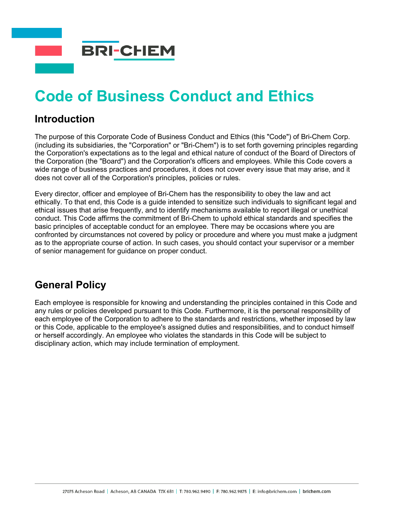

# **Code of Business Conduct and Ethics**

#### **Introduction**

The purpose of this Corporate Code of Business Conduct and Ethics (this "Code") of Bri-Chem Corp. (including its subsidiaries, the "Corporation" or "Bri-Chem") is to set forth governing principles regarding the Corporation's expectations as to the legal and ethical nature of conduct of the Board of Directors of the Corporation (the "Board") and the Corporation's officers and employees. While this Code covers a wide range of business practices and procedures, it does not cover every issue that may arise, and it does not cover all of the Corporation's principles, policies or rules.

Every director, officer and employee of Bri-Chem has the responsibility to obey the law and act ethically. To that end, this Code is a guide intended to sensitize such individuals to significant legal and ethical issues that arise frequently, and to identify mechanisms available to report illegal or unethical conduct. This Code affirms the commitment of Bri-Chem to uphold ethical standards and specifies the basic principles of acceptable conduct for an employee. There may be occasions where you are confronted by circumstances not covered by policy or procedure and where you must make a judgment as to the appropriate course of action. In such cases, you should contact your supervisor or a member of senior management for guidance on proper conduct.

#### **General Policy**

Each employee is responsible for knowing and understanding the principles contained in this Code and any rules or policies developed pursuant to this Code. Furthermore, it is the personal responsibility of each employee of the Corporation to adhere to the standards and restrictions, whether imposed by law or this Code, applicable to the employee's assigned duties and responsibilities, and to conduct himself or herself accordingly. An employee who violates the standards in this Code will be subject to disciplinary action, which may include termination of employment.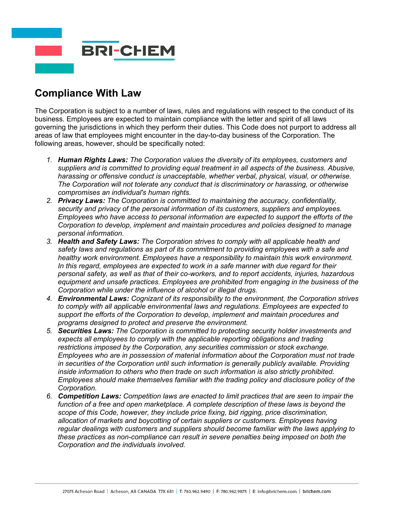

# **Compliance With Law**

The Corporation is subject to a number of laws, rules and regulations with respect to the conduct of its business. Employees are expected to maintain compliance with the letter and spirit of all laws governing the jurisdictions in which they perform their duties. This Code does not purport to address all areas of law that employees might encounter in the day-to-day business of the Corporation. The following areas, however, should be specifically noted:

- *1. Human Rights Laws: The Corporation values the diversity of its employees, customers and suppliers and is committed to providing equal treatment in all aspects of the business. Abusive, harassing or offensive conduct is unacceptable, whether verbal, physical, visual, or otherwise. The Corporation will not tolerate any conduct that is discriminatory or harassing, or otherwise compromises an individual's human rights.*
- *2. Privacy Laws: The Corporation is committed to maintaining the accuracy, confidentiality, security and privacy of the personal information of its customers, suppliers and employees. Employees who have access to personal information are expected to support the efforts of the Corporation to develop, implement and maintain procedures and policies designed to manage personal information.*
- *3. Health and Safety Laws: The Corporation strives to comply with all applicable health and safety laws and regulations as part of its commitment to providing employees with a safe and healthy work environment. Employees have a responsibility to maintain this work environment. In this regard, employees are expected to work in a safe manner with due regard for their personal safety, as well as that of their co-workers, and to report accidents, injuries, hazardous equipment and unsafe practices. Employees are prohibited from engaging in the business of the Corporation while under the influence of alcohol or illegal drugs.*
- *4. Environmental Laws: Cognizant of its responsibility to the environment, the Corporation strives to comply with all applicable environmental laws and regulations. Employees are expected to support the efforts of the Corporation to develop, implement and maintain procedures and programs designed to protect and preserve the environment.*
- *5. Securities Laws: The Corporation is committed to protecting security holder investments and*  expects all employees to comply with the applicable reporting obligations and trading *restrictions imposed by the Corporation, any securities commission or stock exchange. Employees who are in possession of material information about the Corporation must not trade in securities of the Corporation until such information is generally publicly available. Providing inside information to others who then trade on such information is also strictly prohibited. Employees should make themselves familiar with the trading policy and disclosure policy of the Corporation.*
- *6. Competition Laws: Competition laws are enacted to limit practices that are seen to impair the*  function of a free and open marketplace. A complete description of these laws is beyond the *scope of this Code, however, they include price fixing, bid rigging, price discrimination, allocation of markets and boycotting of certain suppliers or customers. Employees having regular dealings with customers and suppliers should become familiar with the laws applying to these practices as non-compliance can result in severe penalties being imposed on both the Corporation and the individuals involved.*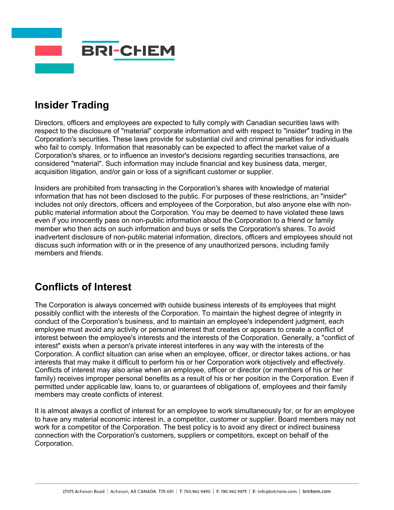

# **Insider Trading**

Directors, officers and employees are expected to fully comply with Canadian securities laws with respect to the disclosure of "material" corporate information and with respect to "insider" trading in the Corporation's securities. These laws provide for substantial civil and criminal penalties for individuals who fail to comply. Information that reasonably can be expected to affect the market value of a Corporation's shares, or to influence an investor's decisions regarding securities transactions, are considered "material". Such information may include financial and key business data, merger, acquisition litigation, and/or gain or loss of a significant customer or supplier.

Insiders are prohibited from transacting in the Corporation's shares with knowledge of material information that has not been disclosed to the public. For purposes of these restrictions, an "insider" includes not only directors, officers and employees of the Corporation, but also anyone else with nonpublic material information about the Corporation. You may be deemed to have violated these laws even if you innocently pass on non-public information about the Corporation to a friend or family member who then acts on such information and buys or sells the Corporation's shares. To avoid inadvertent disclosure of non-public material information, directors, officers and employees should not discuss such information with or in the presence of any unauthorized persons, including family members and friends.

# **Conflicts of Interest**

The Corporation is always concerned with outside business interests of its employees that might possibly conflict with the interests of the Corporation. To maintain the highest degree of integrity in conduct of the Corporation's business, and to maintain an employee's independent judgment, each employee must avoid any activity or personal interest that creates or appears to create a conflict of interest between the employee's interests and the interests of the Corporation. Generally, a "conflict of interest" exists when a person's private interest interferes in any way with the interests of the Corporation. A conflict situation can arise when an employee, officer, or director takes actions, or has interests that may make it difficult to perform his or her Corporation work objectively and effectively. Conflicts of interest may also arise when an employee, officer or director (or members of his or her family) receives improper personal benefits as a result of his or her position in the Corporation. Even if permitted under applicable law, loans to, or guarantees of obligations of, employees and their family members may create conflicts of interest.

It is almost always a conflict of interest for an employee to work simultaneously for, or for an employee to have any material economic interest in, a competitor, customer or supplier. Board members may not work for a competitor of the Corporation. The best policy is to avoid any direct or indirect business connection with the Corporation's customers, suppliers or competitors, except on behalf of the Corporation.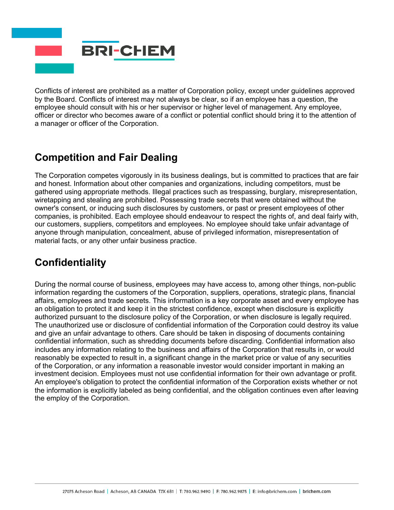

Conflicts of interest are prohibited as a matter of Corporation policy, except under guidelines approved by the Board. Conflicts of interest may not always be clear, so if an employee has a question, the employee should consult with his or her supervisor or higher level of management. Any employee, officer or director who becomes aware of a conflict or potential conflict should bring it to the attention of a manager or officer of the Corporation.

# **Competition and Fair Dealing**

The Corporation competes vigorously in its business dealings, but is committed to practices that are fair and honest. Information about other companies and organizations, including competitors, must be gathered using appropriate methods. Illegal practices such as trespassing, burglary, misrepresentation, wiretapping and stealing are prohibited. Possessing trade secrets that were obtained without the owner's consent, or inducing such disclosures by customers, or past or present employees of other companies, is prohibited. Each employee should endeavour to respect the rights of, and deal fairly with, our customers, suppliers, competitors and employees. No employee should take unfair advantage of anyone through manipulation, concealment, abuse of privileged information, misrepresentation of material facts, or any other unfair business practice.

# **Confidentiality**

During the normal course of business, employees may have access to, among other things, non-public information regarding the customers of the Corporation, suppliers, operations, strategic plans, financial affairs, employees and trade secrets. This information is a key corporate asset and every employee has an obligation to protect it and keep it in the strictest confidence, except when disclosure is explicitly authorized pursuant to the disclosure policy of the Corporation, or when disclosure is legally required. The unauthorized use or disclosure of confidential information of the Corporation could destroy its value and give an unfair advantage to others. Care should be taken in disposing of documents containing confidential information, such as shredding documents before discarding. Confidential information also includes any information relating to the business and affairs of the Corporation that results in, or would reasonably be expected to result in, a significant change in the market price or value of any securities of the Corporation, or any information a reasonable investor would consider important in making an investment decision. Employees must not use confidential information for their own advantage or profit. An employee's obligation to protect the confidential information of the Corporation exists whether or not the information is explicitly labeled as being confidential, and the obligation continues even after leaving the employ of the Corporation.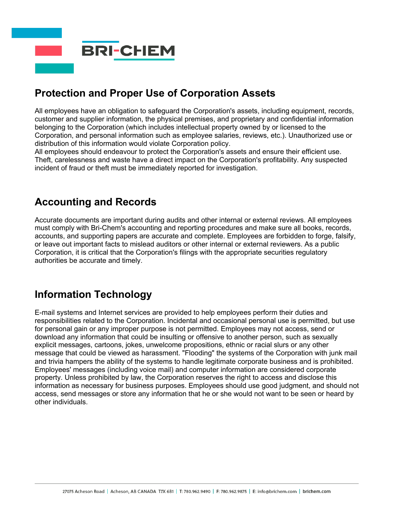

# **Protection and Proper Use of Corporation Assets**

All employees have an obligation to safeguard the Corporation's assets, including equipment, records, customer and supplier information, the physical premises, and proprietary and confidential information belonging to the Corporation (which includes intellectual property owned by or licensed to the Corporation, and personal information such as employee salaries, reviews, etc.). Unauthorized use or distribution of this information would violate Corporation policy.

All employees should endeavour to protect the Corporation's assets and ensure their efficient use. Theft, carelessness and waste have a direct impact on the Corporation's profitability. Any suspected incident of fraud or theft must be immediately reported for investigation.

#### **Accounting and Records**

Accurate documents are important during audits and other internal or external reviews. All employees must comply with Bri-Chem's accounting and reporting procedures and make sure all books, records, accounts, and supporting papers are accurate and complete. Employees are forbidden to forge, falsify, or leave out important facts to mislead auditors or other internal or external reviewers. As a public Corporation, it is critical that the Corporation's filings with the appropriate securities regulatory authorities be accurate and timely.

# **Information Technology**

E-mail systems and Internet services are provided to help employees perform their duties and responsibilities related to the Corporation. Incidental and occasional personal use is permitted, but use for personal gain or any improper purpose is not permitted. Employees may not access, send or download any information that could be insulting or offensive to another person, such as sexually explicit messages, cartoons, jokes, unwelcome propositions, ethnic or racial slurs or any other message that could be viewed as harassment. "Flooding" the systems of the Corporation with junk mail and trivia hampers the ability of the systems to handle legitimate corporate business and is prohibited. Employees' messages (including voice mail) and computer information are considered corporate property. Unless prohibited by law, the Corporation reserves the right to access and disclose this information as necessary for business purposes. Employees should use good judgment, and should not access, send messages or store any information that he or she would not want to be seen or heard by other individuals.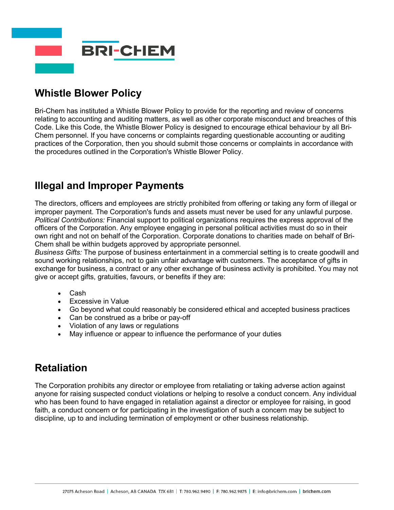

# **Whistle Blower Policy**

Bri-Chem has instituted a Whistle Blower Policy to provide for the reporting and review of concerns relating to accounting and auditing matters, as well as other corporate misconduct and breaches of this Code. Like this Code, the Whistle Blower Policy is designed to encourage ethical behaviour by all Bri-Chem personnel. If you have concerns or complaints regarding questionable accounting or auditing practices of the Corporation, then you should submit those concerns or complaints in accordance with the procedures outlined in the Corporation's Whistle Blower Policy.

#### **Illegal and Improper Payments**

The directors, officers and employees are strictly prohibited from offering or taking any form of illegal or improper payment. The Corporation's funds and assets must never be used for any unlawful purpose. *Political Contributions:* Financial support to political organizations requires the express approval of the officers of the Corporation. Any employee engaging in personal political activities must do so in their own right and not on behalf of the Corporation. Corporate donations to charities made on behalf of Bri-Chem shall be within budgets approved by appropriate personnel.

*Business Gifts:* The purpose of business entertainment in a commercial setting is to create goodwill and sound working relationships, not to gain unfair advantage with customers. The acceptance of gifts in exchange for business, a contract or any other exchange of business activity is prohibited. You may not give or accept gifts, gratuities, favours, or benefits if they are:

- Cash
- Excessive in Value
- Go beyond what could reasonably be considered ethical and accepted business practices
- Can be construed as a bribe or pay-off
- Violation of any laws or regulations
- May influence or appear to influence the performance of your duties

# **Retaliation**

The Corporation prohibits any director or employee from retaliating or taking adverse action against anyone for raising suspected conduct violations or helping to resolve a conduct concern. Any individual who has been found to have engaged in retaliation against a director or employee for raising, in good faith, a conduct concern or for participating in the investigation of such a concern may be subject to discipline, up to and including termination of employment or other business relationship.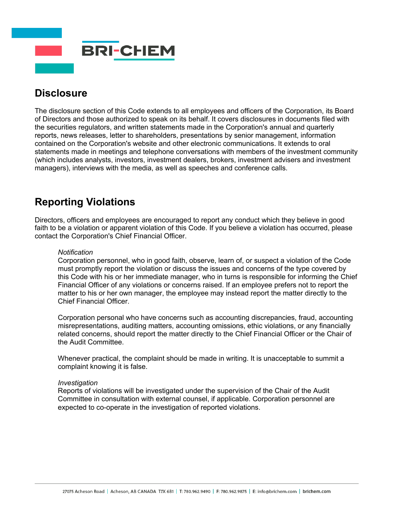

#### **Disclosure**

The disclosure section of this Code extends to all employees and officers of the Corporation, its Board of Directors and those authorized to speak on its behalf. It covers disclosures in documents filed with the securities regulators, and written statements made in the Corporation's annual and quarterly reports, news releases, letter to shareholders, presentations by senior management, information contained on the Corporation's website and other electronic communications. It extends to oral statements made in meetings and telephone conversations with members of the investment community (which includes analysts, investors, investment dealers, brokers, investment advisers and investment managers), interviews with the media, as well as speeches and conference calls.

#### **Reporting Violations**

Directors, officers and employees are encouraged to report any conduct which they believe in good faith to be a violation or apparent violation of this Code. If you believe a violation has occurred, please contact the Corporation's Chief Financial Officer.

#### *Notification*

Corporation personnel, who in good faith, observe, learn of, or suspect a violation of the Code must promptly report the violation or discuss the issues and concerns of the type covered by this Code with his or her immediate manager, who in turns is responsible for informing the Chief Financial Officer of any violations or concerns raised. If an employee prefers not to report the matter to his or her own manager, the employee may instead report the matter directly to the Chief Financial Officer.

Corporation personal who have concerns such as accounting discrepancies, fraud, accounting misrepresentations, auditing matters, accounting omissions, ethic violations, or any financially related concerns, should report the matter directly to the Chief Financial Officer or the Chair of the Audit Committee.

Whenever practical, the complaint should be made in writing. It is unacceptable to summit a complaint knowing it is false.

#### *Investigation*

Reports of violations will be investigated under the supervision of the Chair of the Audit Committee in consultation with external counsel, if applicable. Corporation personnel are expected to co-operate in the investigation of reported violations.